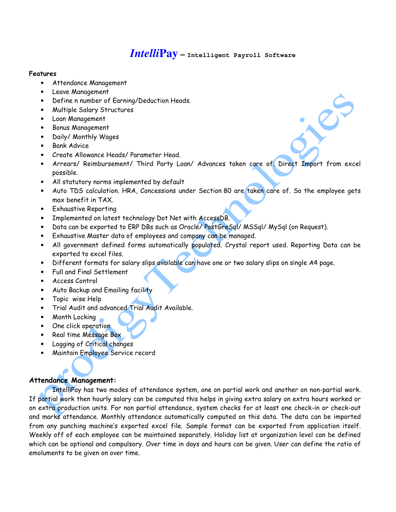# *Intelli***Pay – Intelligent Payroll Software**

## Features

- Attendance Management
- Leave Management
- Define n number of Earning/Deduction Heads.
- Multiple Salary Structures
- Loan Management
- Bonus Management
- Daily/ Monthly Wages
- Bank Advice
- Create Allowance Heads/ Parameter Head.
- Arrears/ Reimbursement/ Third Party Loan/ Advances taken care of. Direct Import from excel possible.
- All statutory norms implemented by default
- Auto TDS calculation. HRA, Concessions under Section 80 are taken care of. So the employee gets max benefit in TAX.
- Exhaustive Reporting
- Implemented on latest technology Dot Net with AccessDB.
- Data can be exported to ERP DBs such as Oracle/ PostGreSql/ MSSql/ MySql (on Request).
- Exhaustive Master data of employees and company can be managed.
- All government defined forms automatically populated. Crystal report used. Reporting Data can be exported to excel files.
- Different formats for salary slips available can have one or two salary slips on single A4 page.
- Full and Final Settlement
- Access Control
- Auto Backup and Emailing facility
- Topic wise Help
- Trial Audit and advanced Trial Audit Available.
- Month Locking
- One click operation
- Real time Message Box
- Logging of Critical changes
- Maintain Employee Service record

# Attendance Management:

 IntelliPay has two modes of attendance system, one on partial work and another on non-partial work. If partial work then hourly salary can be computed this helps in giving extra salary on extra hours worked or on extra production units. For non partial attendance, system checks for at least one check-in or check-out and marks attendance. Monthly attendance automatically computed on this data. The data can be imported from any punching machine's exported excel file. Sample format can be exported from application itself. Weekly off of each employee can be maintained separately. Holiday list at organization level can be defined which can be optional and compulsory. Over time in days and hours can be given. User can define the ratio of emoluments to be given on over time.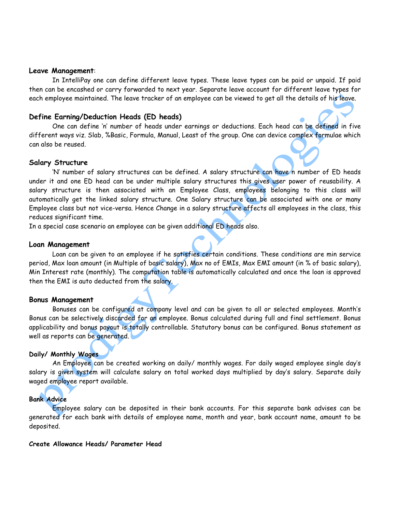#### Leave Management:

 In IntelliPay one can define different leave types. These leave types can be paid or unpaid. If paid then can be encashed or carry forwarded to next year. Separate leave account for different leave types for each employee maintained. The leave tracker of an employee can be viewed to get all the details of his leave.

## Define Earning/Deduction Heads (ED heads)

 One can define 'n' number of heads under earnings or deductions. Each head can be defined in five different ways viz. Slab, %Basic, Formula, Manual, Least of the group. One can device complex formulae which can also be reused.

## Salary Structure

 'N' number of salary structures can be defined. A salary structure can have n number of ED heads under it and one ED head can be under multiple salary structures this gives user power of reusability. A salary structure is then associated with an Employee Class, employees belonging to this class will automatically get the linked salary structure. One Salary structure can be associated with one or many Employee class but not vice-versa. Hence Change in a salary structure affects all employees in the class, this reduces significant time.

In a special case scenario an employee can be given additional ED heads also.

## Loan Management

 Loan can be given to an employee if he satisfies certain conditions. These conditions are min service period, Max loan amount (in Multiple of basic salary), Max no of EMIs, Max EMI amount (in % of basic salary), Min Interest rate (monthly). The computation table is automatically calculated and once the loan is approved then the EMI is auto deducted from the salary.

#### Bonus Management

 Bonuses can be configured at company level and can be given to all or selected employees. Month's Bonus can be selectively discarded for an employee. Bonus calculated during full and final settlement. Bonus applicability and bonus payout is totally controllable. Statutory bonus can be configured. Bonus statement as well as reports can be generated.

#### Daily/ Monthly Wages

An Employee can be created working on daily/ monthly wages. For daily waged employee single day's salary is given system will calculate salary on total worked days multiplied by day's salary. Separate daily waged employee report available.

# Bank Advice

 Employee salary can be deposited in their bank accounts. For this separate bank advises can be generated for each bank with details of employee name, month and year, bank account name, amount to be deposited.

# Create Allowance Heads/ Parameter Head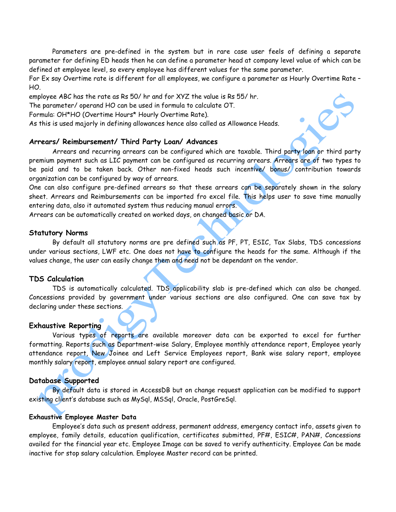Parameters are pre-defined in the system but in rare case user feels of defining a separate parameter for defining ED heads then he can define a parameter head at company level value of which can be defined at employee level, so every employee has different values for the same parameter.

For Ex say Overtime rate is different for all employees, we configure a parameter as Hourly Overtime Rate – HO.

employee ABC has the rate as Rs 50/ hr and for XYZ the value is Rs 55/ hr.

The parameter/ operand HO can be used in formula to calculate OT.

Formula: OH\*HO (Overtime Hours\* Hourly Overtime Rate).

As this is used majorly in defining allowances hence also called as Allowance Heads.

# Arrears/ Reimbursement/ Third Party Loan/ Advances

 Arrears and recurring arrears can be configured which are taxable. Third party loan or third party premium payment such as LIC payment can be configured as recurring arrears. Arrears are of two types to be paid and to be taken back. Other non-fixed heads such incentive/ bonus/ contribution towards organization can be configured by way of arrears.

One can also configure pre-defined arrears so that these arrears can be separately shown in the salary sheet. Arrears and Reimbursements can be imported fro excel file. This helps user to save time manually entering data, also it automated system thus reducing manual errors.

Arrears can be automatically created on worked days, on changed basic or DA.

## Statutory Norms

 By default all statutory norms are pre defined such as PF, PT, ESIC, Tax Slabs, TDS concessions under various sections, LWF etc. One does not have to configure the heads for the same. Although if the values change, the user can easily change them and need not be dependant on the vendor.

## TDS Calculation

 TDS is automatically calculated. TDS applicability slab is pre-defined which can also be changed. Concessions provided by government under various sections are also configured. One can save tax by declaring under these sections.

#### Exhaustive Reporting

 Various types of reports are available moreover data can be exported to excel for further formatting. Reports such as Department-wise Salary, Employee monthly attendance report, Employee yearly attendance report, New Joinee and Left Service Employees report, Bank wise salary report, employee monthly salary report, employee annual salary report are configured.

## Database Supported

 By default data is stored in AccessDB but on change request application can be modified to support existing client's database such as MySql, MSSql, Oracle, PostGreSql.

#### Exhaustive Employee Master Data

 Employee's data such as present address, permanent address, emergency contact info, assets given to employee, family details, education qualification, certificates submitted, PF#, ESIC#, PAN#, Concessions availed for the financial year etc. Employee Image can be saved to verify authenticity. Employee Can be made inactive for stop salary calculation. Employee Master record can be printed.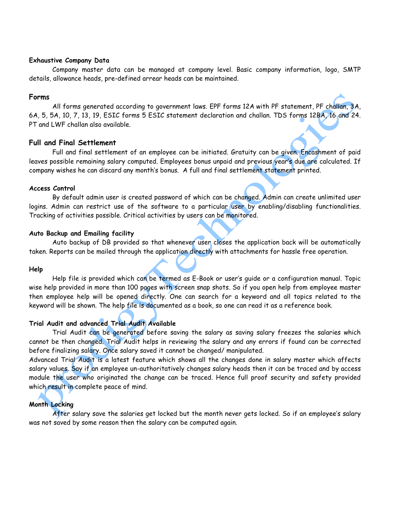## Exhaustive Company Data

Company master data can be managed at company level. Basic company information, logo, SMTP details, allowance heads, pre-defined arrear heads can be maintained.

# Forms

 All forms generated according to government laws. EPF forms 12A with PF statement, PF challan, 3A, 6A, 5, 5A, 10, 7, 13, 19, ESIC forms 5 ESIC statement declaration and challan. TDS forms 12BA, 16 and 24. PT and LWF challan also available.

# Full and Final Settlement

Full and final settlement of an employee can be initiated. Gratuity can be given. Encashment of paid leaves possible remaining salary computed. Employees bonus unpaid and previous year's due are calculated. If company wishes he can discard any month's bonus. A full and final settlement statement printed.

# Access Control

 By default admin user is created password of which can be changed. Admin can create unlimited user logins. Admin can restrict use of the software to a particular user by enabling/disabling functionalities. Tracking of activities possible. Critical activities by users can be monitored.

# Auto Backup and Emailing facility

 Auto backup of DB provided so that whenever user closes the application back will be automatically taken. Reports can be mailed through the application directly with attachments for hassle free operation.

# Help

 Help file is provided which can be termed as E-Book or user's guide or a configuration manual. Topic wise help provided in more than 100 pages with screen snap shots. So if you open help from employee master then employee help will be opened directly. One can search for a keyword and all topics related to the keyword will be shown. The help file is documented as a book, so one can read it as a reference book.

# Trial Audit and advanced Trial Audit Available

Trial Audit can be generated before saving the salary as saving salary freezes the salaries which cannot be then changed. Trial Audit helps in reviewing the salary and any errors if found can be corrected before finalizing salary. Once salary saved it cannot be changed/ manipulated.

Advanced Trial Audit is a latest feature which shows all the changes done in salary master which affects salary values. Say if an employee un-authoritatively changes salary heads then it can be traced and by access module the user who originated the change can be traced. Hence full proof security and safety provided which result in complete peace of mind.

# Month Locking

After salary save the salaries get locked but the month never gets locked. So if an employee's salary was not saved by some reason then the salary can be computed again.